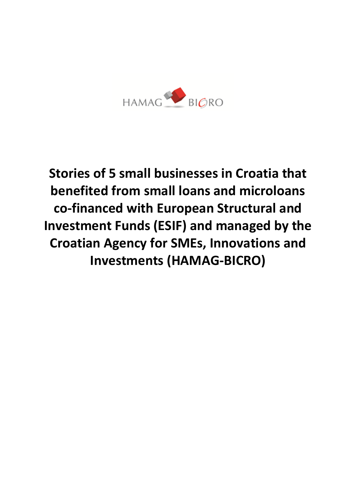

**Stories of 5 small businesses in Croatia that benefited from small loans and microloans co-financed with European Structural and Investment Funds (ESIF) and managed by the Croatian Agency for SMEs, Innovations and Investments (HAMAG-BICRO)**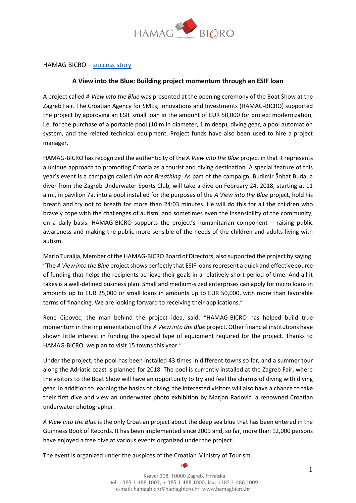

## HAMAG BICRO – [success story](https://hamagbicro.hr/pogled-u-plavo-esif-zajmom-do-uzleta-projekta/)

### **A View into the Blue: Building project momentum through an ESIF loan**

A project called *A View into the Blue* was presented at the opening ceremony of the Boat Show at the Zagreb Fair. The Croatian Agency for SMEs, Innovations and Investments (HAMAG-BICRO) supported the project by approving an ESIF small loan in the amount of EUR 50,000 for project modernization, i.e. for the purchase of a portable pool (10 m in diameter, 1 m deep), diving gear, a pool automation system, and the related technical equipment. Project funds have also been used to hire a project manager.

HAMAG-BICRO has recognized the authenticity of the *A View into the Blue* project in that it represents a unique approach to promoting Croatia as a tourist and diving destination. A special feature of this year's event is a campaign called *I'm not Breathing*. As part of the campaign, Budimir Šobat Buda, a diver from the Zagreb Underwater Sports Club, will take a dive on February 24, 2018, starting at 11 a.m., in pavilion 7a, into a pool installed for the purposes of the *A View into the Blue* project, hold his breath and try not to breath for more than 24:03 minutes. He will do this for all the children who bravely cope with the challenges of autism, and sometimes even the insensibility of the community, on a daily basis. HAMAG-BICRO supports the project's humanitarian component – raising public awareness and making the public more sensible of the needs of the children and adults living with autism.

Mario Turalija, Member of the HAMAG-BICRO Board of Directors, also supported the project by saying: "The *A View into the Blue* project shows perfectly that ESIF loans represent a quick and effective source of funding that helps the recipients achieve their goals in a relatively short period of time. And all it takes is a well-defined business plan. Small and medium-sized enterprises can apply for micro loans in amounts up to EUR 25,000 or small loans in amounts up to EUR 50,000, with more than favorable terms of financing. We are looking forward to receiving their applications."

Rene Cipovec, the man behind the project idea, said: "HAMAG-BICRO has helped build true momentum in the implementation of the *A View into the Blue* project. Other financial institutions have shown little interest in funding the special type of equipment required for the project. Thanks to HAMAG-BICRO, we plan to visit 15 towns this year."

Under the project, the pool has been installed 43 times in different towns so far, and a summer tour along the Adriatic coast is planned for 2018. The pool is currently installed at the Zagreb Fair, where the visitors to the Boat Show will have an opportunity to try and feel the charms of diving with diving gear. In addition to learning the basics of diving, the interested visitors will also have a chance to take their first dive and view an underwater photo exhibition by Marjan Radović, a renowned Croatian underwater photographer.

*A View into the Blue* is the only Croatian project about the deep sea blue that has been entered in the Guinness Book of Records. It has been implemented since 2009 and, so far, more than 12,000 persons have enjoyed a free dive at various events organized under the project.

The event is organized under the auspices of the Croatian Ministry of Tourism.

Ksaver 208, 10000 Zagreb, Hrvatska tel: +385 1 488 1003, + 385 1 488 1000, fax: +385 1 488 1009 e-mail: hamagbicro@hamagbicro.hr www.hamagbicro.hr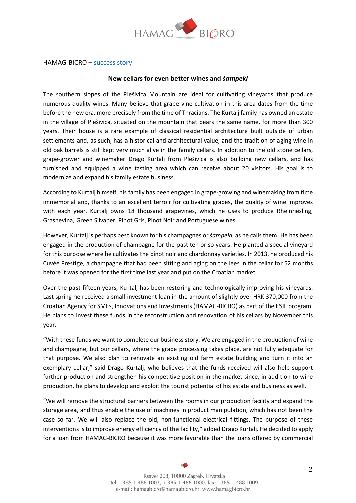

HAMAG-BICRO – [success story](https://prvih25.hr/novi-podrumi-za-jos-bolja-vina-i-sampeke/)

### **New cellars for even better wines and** *šampeki*

The southern slopes of the Plešivica Mountain are ideal for cultivating vineyards that produce numerous quality wines. Many believe that grape vine cultivation in this area dates from the time before the new era, more precisely from the time of Thracians. The Kurtalj family has owned an estate in the village of Plešivica, situated on the mountain that bears the same name, for more than 300 years. Their house is a rare example of classical residential architecture built outside of urban settlements and, as such, has a historical and architectural value, and the tradition of aging wine in old oak barrels is still kept very much alive in the family cellars. In addition to the old stone cellars, grape-grower and winemaker Drago Kurtalj from Plešivica is also building new cellars, and has furnished and equipped a wine tasting area which can receive about 20 visitors. His goal is to modernize and expand his family estate business.

According to Kurtalj himself, hisfamily has been engaged in grape-growing and winemaking from time immemorial and, thanks to an excellent terroir for cultivating grapes, the quality of wine improves with each year. Kurtalj owns 18 thousand grapevines, which he uses to produce Rheinriesling, Grashevina, Green Silvaner, Pinot Gris, Pinot Noir and Portuguese wines.

However, Kurtalj is perhaps best known for his champagnes or*šampeki*, as he calls them. He has been engaged in the production of champagne for the past ten or so years. He planted a special vineyard for this purpose where he cultivates the pinot noir and chardonnay varieties. In 2013, he produced his Cuvée Prestige, a champagne that had been sitting and aging on the lees in the cellar for 52 months before it was opened for the first time last year and put on the Croatian market.

Over the past fifteen years, Kurtalj has been restoring and technologically improving his vineyards. Last spring he received a small investment loan in the amount of slightly over HRK 370,000 from the Croatian Agency for SMEs, Innovations and Investments (HAMAG-BICRO) as part of the ESIF program. He plans to invest these funds in the reconstruction and renovation of his cellars by November this year.

"With these funds we want to complete our business story. We are engaged in the production of wine and champagne, but our cellars, where the grape processing takes place, are not fully adequate for that purpose. We also plan to renovate an existing old farm estate building and turn it into an exemplary cellar," said Drago Kurtalj, who believes that the funds received will also help support further production and strengthen his competitive position in the market since, in addition to wine production, he plans to develop and exploit the tourist potential of his estate and business as well.

"We will remove the structural barriers between the rooms in our production facility and expand the storage area, and thus enable the use of machines in product manipulation, which has not been the case so far. We will also replace the old, non-functional electrical fittings. The purpose of these interventions is to improve energy efficiency of the facility," added Drago Kurtalj. He decided to apply for a loan from HAMAG-BICRO because it was more favorable than the loans offered by commercial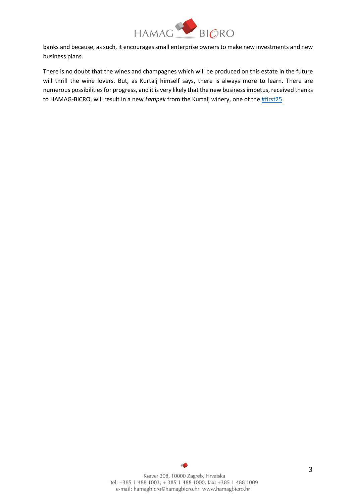

banks and because, as such, it encourages small enterprise owners to make new investments and new business plans.

There is no doubt that the wines and champagnes which will be produced on this estate in the future will thrill the wine lovers. But, as Kurtalj himself says, there is always more to learn. There are numerous possibilities for progress, and it is very likely that the new business impetus, received thanks to HAMAG-BICRO, will result in a new *šampek* from the Kurtalj winery, one of th[e #first25.](https://prvih25.hr/novi-podrumi-za-jos-bolja-vina-i-sampeke/)

> Ksaver 208, 10000 Zagreb, Hrvatska tel: +385 1 488 1003, + 385 1 488 1000, fax: +385 1 488 1009 e-mail: hamagbicro@hamagbicro.hr www.hamagbicro.hr

 $\triangle$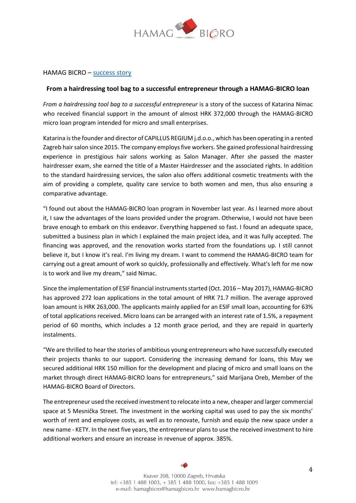

### HAMAG BICRO – [success story](https://hamagbicro.hr/zajmom-hamag-bicro-a-od-frizerskog-kofera-do-uspjesne-poduzetnice/)

### **From a hairdressing tool bag to a successful entrepreneur through a HAMAG-BICRO loan**

*From a hairdressing tool bag to a successful entrepreneur* is a story of the success of Katarina Nimac who received financial support in the amount of almost HRK 372,000 through the HAMAG-BICRO micro loan program intended for micro and small enterprises.

Katarina is the founder and director of CAPILLUS REGIUM j.d.o.o., which has been operating in a rented Zagreb hair salon since 2015. The company employs five workers. She gained professional hairdressing experience in prestigious hair salons working as Salon Manager. After she passed the master hairdresser exam, she earned the title of a Master Hairdresser and the associated rights. In addition to the standard hairdressing services, the salon also offers additional cosmetic treatments with the aim of providing a complete, quality care service to both women and men, thus also ensuring a comparative advantage.

"I found out about the HAMAG-BICRO loan program in November last year. As I learned more about it, I saw the advantages of the loans provided under the program. Otherwise, I would not have been brave enough to embark on this endeavor. Everything happened so fast. I found an adequate space, submitted a business plan in which I explained the main project idea, and it was fully accepted. The financing was approved, and the renovation works started from the foundations up. I still cannot believe it, but I know it's real. I'm living my dream. I want to commend the HAMAG-BICRO team for carrying out a great amount of work so quickly, professionally and effectively. What's left for me now is to work and live my dream," said Nimac.

Since the implementation of ESIF financial instruments started (Oct. 2016 – May 2017), HAMAG-BICRO has approved 272 loan applications in the total amount of HRK 71.7 million. The average approved loan amount is HRK 263,000. The applicants mainly applied for an ESIF small loan, accounting for 63% of total applications received. Micro loans can be arranged with an interest rate of 1.5%, a repayment period of 60 months, which includes a 12 month grace period, and they are repaid in quarterly instalments.

"We are thrilled to hear the stories of ambitious young entrepreneurs who have successfully executed their projects thanks to our support. Considering the increasing demand for loans, this May we secured additional HRK 150 million for the development and placing of micro and small loans on the market through direct HAMAG-BICRO loans for entrepreneurs," said Marijana Oreb, Member of the HAMAG-BICRO Board of Directors.

The entrepreneur used the received investment to relocate into a new, cheaper and larger commercial space at 5 Mesnička Street. The investment in the working capital was used to pay the six months' worth of rent and employee costs, as well as to renovate, furnish and equip the new space under a new name - KETY. In the next five years, the entrepreneur plans to use the received investment to hire additional workers and ensure an increase in revenue of approx. 385%.

> Ksaver 208, 10000 Zagreb, Hrvatska tel: +385 1 488 1003, + 385 1 488 1000, fax: +385 1 488 1009 e-mail: hamagbicro@hamagbicro.hr www.hamagbicro.hr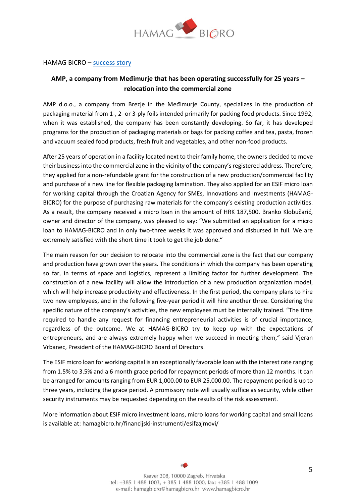

#### HAMAG BICRO – [success story](https://hamagbicro.hr/tvrtka-amp-iz-medimurja-uspjesno-posluje-vec-25-godina-preseljenje-u-gospodarsku-zonu/)

# **AMP, a company from Međimurje that has been operating successfully for 25 years – relocation into the commercial zone**

AMP d.o.o., a company from Brezje in the Međimurje County, specializes in the production of packaging material from 1-, 2- or 3-ply foils intended primarily for packing food products. Since 1992, when it was established, the company has been constantly developing. So far, it has developed programs for the production of packaging materials or bags for packing coffee and tea, pasta, frozen and vacuum sealed food products, fresh fruit and vegetables, and other non-food products.

After 25 years of operation in a facility located next to their family home, the owners decided to move their business into the commercial zone in the vicinity of the company's registered address. Therefore, they applied for a non-refundable grant for the construction of a new production/commercial facility and purchase of a new line for flexible packaging lamination. They also applied for an ESIF micro loan for working capital through the Croatian Agency for SMEs, Innovations and Investments (HAMAG-BICRO) for the purpose of purchasing raw materials for the company's existing production activities. As a result, the company received a micro loan in the amount of HRK 187,500. Branko Klobučarić, owner and director of the company, was pleased to say: "We submitted an application for a micro loan to HAMAG-BICRO and in only two-three weeks it was approved and disbursed in full. We are extremely satisfied with the short time it took to get the job done."

The main reason for our decision to relocate into the commercial zone is the fact that our company and production have grown over the years. The conditions in which the company has been operating so far, in terms of space and logistics, represent a limiting factor for further development. The construction of a new facility will allow the introduction of a new production organization model, which will help increase productivity and effectiveness. In the first period, the company plans to hire two new employees, and in the following five-year period it will hire another three. Considering the specific nature of the company's activities, the new employees must be internally trained. "The time required to handle any request for financing entrepreneurial activities is of crucial importance, regardless of the outcome. We at HAMAG-BICRO try to keep up with the expectations of entrepreneurs, and are always extremely happy when we succeed in meeting them," said Vjeran Vrbanec, President of the HAMAG-BICRO Board of Directors.

The ESIF micro loan for working capital is an exceptionally favorable loan with the interest rate ranging from 1.5% to 3.5% and a 6 month grace period for repayment periods of more than 12 months. It can be arranged for amounts ranging from EUR 1,000.00 to EUR 25,000.00. The repayment period is up to three years, including the grace period. A promissory note will usually suffice as security, while other security instruments may be requested depending on the results of the risk assessment.

More information about ESIF micro investment loans, micro loans for working capital and small loans is available at: hamagbicro.hr/financijski-instrumenti/esifzajmovi/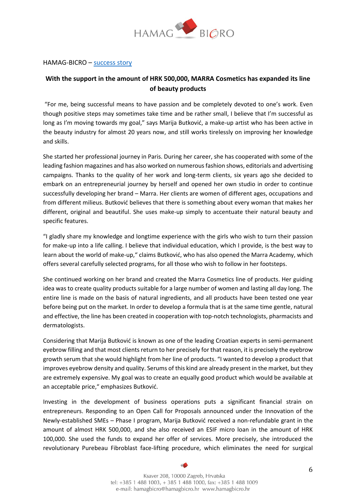

#### HAMAG-BICRO – [success story](https://prvih25.hr/uz-potporu-od-pola-milijuna-kuna-marra-kozmetika-prosirila-liniju-beauty-proizvoda/)

# **With the support in the amount of HRK 500,000, MARRA Cosmetics has expanded its line of beauty products**

"For me, being successful means to have passion and be completely devoted to one's work. Even though positive steps may sometimes take time and be rather small, I believe that I'm successful as long as I'm moving towards my goal," says Marija Butković, a make-up artist who has been active in the beauty industry for almost 20 years now, and still works tirelessly on improving her knowledge and skills.

She started her professional journey in Paris. During her career, she has cooperated with some of the leading fashion magazines and has also worked on numerous fashion shows, editorials and advertising campaigns. Thanks to the quality of her work and long-term clients, six years ago she decided to embark on an entrepreneurial journey by herself and opened her own studio in order to continue successfully developing her brand – Marra. Her clients are women of different ages, occupations and from different milieus. Butković believes that there is something about every woman that makes her different, original and beautiful. She uses make-up simply to accentuate their natural beauty and specific features.

"I gladly share my knowledge and longtime experience with the girls who wish to turn their passion for make-up into a life calling. I believe that individual education, which I provide, is the best way to learn about the world of make-up," claims Butković, who has also opened the Marra Academy, which offers several carefully selected programs, for all those who wish to follow in her footsteps.

She continued working on her brand and created the Marra Cosmetics line of products. Her guiding idea was to create quality products suitable for a large number of women and lasting all day long. The entire line is made on the basis of natural ingredients, and all products have been tested one year before being put on the market. In order to develop a formula that is at the same time gentle, natural and effective, the line has been created in cooperation with top-notch technologists, pharmacists and dermatologists.

Considering that Marija Butković is known as one of the leading Croatian experts in semi-permanent eyebrow filling and that most clients return to her precisely for that reason, it is precisely the eyebrow growth serum that she would highlight from her line of products. "I wanted to develop a product that improves eyebrow density and quality. Serums of this kind are already present in the market, but they are extremely expensive. My goal was to create an equally good product which would be available at an acceptable price," emphasizes Butković.

Investing in the development of business operations puts a significant financial strain on entrepreneurs. Responding to an Open Call for Proposals announced under the Innovation of the Newly-established SMEs – Phase I program, Marija Butković received a non-refundable grant in the amount of almost HRK 500,000, and she also received an ESIF micro loan in the amount of HRK 100,000. She used the funds to expand her offer of services. More precisely, she introduced the revolutionary Purebeau Fibroblast face-lifting procedure, which eliminates the need for surgical

> Ksaver 208, 10000 Zagreb, Hrvatska tel: +385 1 488 1003, + 385 1 488 1000, fax: +385 1 488 1009 e-mail: hamagbicro@hamagbicro.hr www.hamagbicro.hr